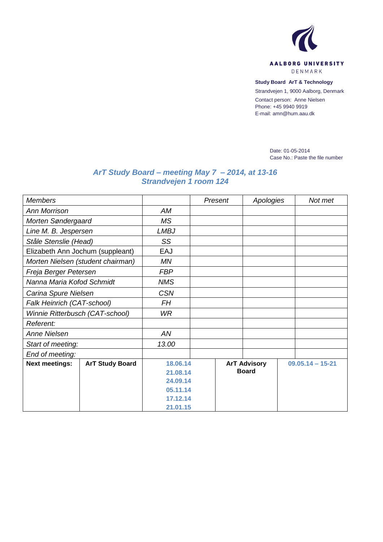

**Study Board ArT & Technology**

Strandvejen 1, 9000 Aalborg, Denmark

Contact person: Anne Nielsen Phone: +45 9940 9919 E-mail: amn@hum.aau.dk

> Date: 01-05-2014 Case No.: Paste the file number

## *ArT Study Board – meeting May 7 – 2014, at 13-16 Strandvejen 1 room 124*

| <b>Members</b>                    |                        |             | Present | Apologies           | Not met            |  |  |
|-----------------------------------|------------------------|-------------|---------|---------------------|--------------------|--|--|
| <b>Ann Morrison</b>               |                        | AM          |         |                     |                    |  |  |
| Morten Søndergaard                |                        | <b>MS</b>   |         |                     |                    |  |  |
| Line M. B. Jespersen              |                        | <b>LMBJ</b> |         |                     |                    |  |  |
| Ståle Stenslie (Head)             |                        | SS          |         |                     |                    |  |  |
| Elizabeth Ann Jochum (suppleant)  |                        | EAJ         |         |                     |                    |  |  |
| Morten Nielsen (student chairman) |                        | ΜN          |         |                     |                    |  |  |
| Freja Berger Petersen             |                        | <b>FBP</b>  |         |                     |                    |  |  |
| Nanna Maria Kofod Schmidt         |                        | <b>NMS</b>  |         |                     |                    |  |  |
| Carina Spure Nielsen              |                        | <b>CSN</b>  |         |                     |                    |  |  |
| Falk Heinrich (CAT-school)        |                        | FH          |         |                     |                    |  |  |
| Winnie Ritterbusch (CAT-school)   |                        | <b>WR</b>   |         |                     |                    |  |  |
| Referent:                         |                        |             |         |                     |                    |  |  |
| <b>Anne Nielsen</b>               |                        | AN          |         |                     |                    |  |  |
| Start of meeting:                 |                        | 13.00       |         |                     |                    |  |  |
| End of meeting:                   |                        |             |         |                     |                    |  |  |
| <b>Next meetings:</b>             | <b>ArT Study Board</b> | 18.06.14    |         | <b>ArT Advisory</b> | $09.05.14 - 15-21$ |  |  |
|                                   |                        | 21.08.14    |         | <b>Board</b>        |                    |  |  |
|                                   |                        | 24.09.14    |         |                     |                    |  |  |
|                                   |                        | 05.11.14    |         |                     |                    |  |  |
|                                   |                        | 17.12.14    |         |                     |                    |  |  |
|                                   |                        | 21.01.15    |         |                     |                    |  |  |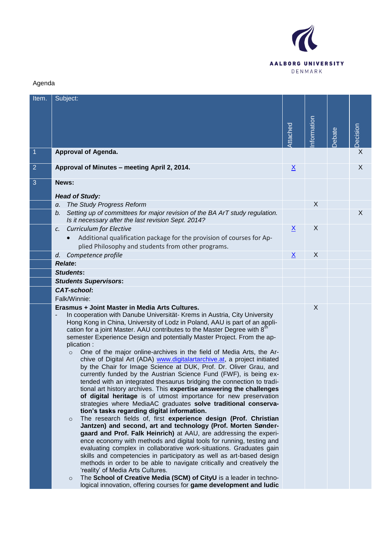

## Agenda

| Item.          | Subject:                                                                                                                                                                                                                                                                                                                                                                                                                                                                                                                                                                                                                                                                                                                                                                                                                                                                                                                                                                                                                                                                                                                                                                                                                                                                                                                                                                                                                                                                                                                                                                                                                                                                                                                                                                                |                 |            |        |          |
|----------------|-----------------------------------------------------------------------------------------------------------------------------------------------------------------------------------------------------------------------------------------------------------------------------------------------------------------------------------------------------------------------------------------------------------------------------------------------------------------------------------------------------------------------------------------------------------------------------------------------------------------------------------------------------------------------------------------------------------------------------------------------------------------------------------------------------------------------------------------------------------------------------------------------------------------------------------------------------------------------------------------------------------------------------------------------------------------------------------------------------------------------------------------------------------------------------------------------------------------------------------------------------------------------------------------------------------------------------------------------------------------------------------------------------------------------------------------------------------------------------------------------------------------------------------------------------------------------------------------------------------------------------------------------------------------------------------------------------------------------------------------------------------------------------------------|-----------------|------------|--------|----------|
|                |                                                                                                                                                                                                                                                                                                                                                                                                                                                                                                                                                                                                                                                                                                                                                                                                                                                                                                                                                                                                                                                                                                                                                                                                                                                                                                                                                                                                                                                                                                                                                                                                                                                                                                                                                                                         | Attached        | nformation | Debate | Decision |
| $\mathbf{1}$   | <b>Approval of Agenda.</b>                                                                                                                                                                                                                                                                                                                                                                                                                                                                                                                                                                                                                                                                                                                                                                                                                                                                                                                                                                                                                                                                                                                                                                                                                                                                                                                                                                                                                                                                                                                                                                                                                                                                                                                                                              |                 |            |        | X        |
| $\overline{2}$ | Approval of Minutes - meeting April 2, 2014.                                                                                                                                                                                                                                                                                                                                                                                                                                                                                                                                                                                                                                                                                                                                                                                                                                                                                                                                                                                                                                                                                                                                                                                                                                                                                                                                                                                                                                                                                                                                                                                                                                                                                                                                            | <u>X</u>        |            |        | X        |
| 3              | News:                                                                                                                                                                                                                                                                                                                                                                                                                                                                                                                                                                                                                                                                                                                                                                                                                                                                                                                                                                                                                                                                                                                                                                                                                                                                                                                                                                                                                                                                                                                                                                                                                                                                                                                                                                                   |                 |            |        |          |
|                | <b>Head of Study:</b>                                                                                                                                                                                                                                                                                                                                                                                                                                                                                                                                                                                                                                                                                                                                                                                                                                                                                                                                                                                                                                                                                                                                                                                                                                                                                                                                                                                                                                                                                                                                                                                                                                                                                                                                                                   |                 |            |        |          |
|                | The Study Progress Reform<br>a.                                                                                                                                                                                                                                                                                                                                                                                                                                                                                                                                                                                                                                                                                                                                                                                                                                                                                                                                                                                                                                                                                                                                                                                                                                                                                                                                                                                                                                                                                                                                                                                                                                                                                                                                                         |                 | X          |        |          |
|                | Setting up of committees for major revision of the BA ArT study regulation.<br>b.<br>Is it necessary after the last revision Sept. 2014?                                                                                                                                                                                                                                                                                                                                                                                                                                                                                                                                                                                                                                                                                                                                                                                                                                                                                                                                                                                                                                                                                                                                                                                                                                                                                                                                                                                                                                                                                                                                                                                                                                                |                 |            |        | $\sf X$  |
|                | <b>Curriculum for Elective</b><br>$\mathcal{C}$ .<br>Additional qualification package for the provision of courses for Ap-<br>$\bullet$<br>plied Philosophy and students from other programs.                                                                                                                                                                                                                                                                                                                                                                                                                                                                                                                                                                                                                                                                                                                                                                                                                                                                                                                                                                                                                                                                                                                                                                                                                                                                                                                                                                                                                                                                                                                                                                                           | $\underline{X}$ | X          |        |          |
|                | Competence profile<br>d.                                                                                                                                                                                                                                                                                                                                                                                                                                                                                                                                                                                                                                                                                                                                                                                                                                                                                                                                                                                                                                                                                                                                                                                                                                                                                                                                                                                                                                                                                                                                                                                                                                                                                                                                                                | $\underline{X}$ | X          |        |          |
|                | <b>Relate:</b>                                                                                                                                                                                                                                                                                                                                                                                                                                                                                                                                                                                                                                                                                                                                                                                                                                                                                                                                                                                                                                                                                                                                                                                                                                                                                                                                                                                                                                                                                                                                                                                                                                                                                                                                                                          |                 |            |        |          |
|                | <b>Students:</b>                                                                                                                                                                                                                                                                                                                                                                                                                                                                                                                                                                                                                                                                                                                                                                                                                                                                                                                                                                                                                                                                                                                                                                                                                                                                                                                                                                                                                                                                                                                                                                                                                                                                                                                                                                        |                 |            |        |          |
|                | <b>Students Supervisors:</b>                                                                                                                                                                                                                                                                                                                                                                                                                                                                                                                                                                                                                                                                                                                                                                                                                                                                                                                                                                                                                                                                                                                                                                                                                                                                                                                                                                                                                                                                                                                                                                                                                                                                                                                                                            |                 |            |        |          |
|                | <b>CAT-school:</b>                                                                                                                                                                                                                                                                                                                                                                                                                                                                                                                                                                                                                                                                                                                                                                                                                                                                                                                                                                                                                                                                                                                                                                                                                                                                                                                                                                                                                                                                                                                                                                                                                                                                                                                                                                      |                 |            |        |          |
|                | Falk/Winnie:                                                                                                                                                                                                                                                                                                                                                                                                                                                                                                                                                                                                                                                                                                                                                                                                                                                                                                                                                                                                                                                                                                                                                                                                                                                                                                                                                                                                                                                                                                                                                                                                                                                                                                                                                                            |                 |            |        |          |
|                | Erasmus + Joint Master in Media Arts Cultures.<br>In cooperation with Danube Universität- Krems in Austria, City University<br>$\overline{\phantom{a}}$<br>Hong Kong in China, University of Lodz in Poland, AAU is part of an appli-<br>cation for a joint Master. AAU contributes to the Master Degree with 8 <sup>tt</sup><br>semester Experience Design and potentially Master Project. From the ap-<br>plication:<br>One of the major online-archives in the field of Media Arts, the Ar-<br>$\circ$<br>chive of Digital Art (ADA) www.digitalartarchive.at, a project initiated<br>by the Chair for Image Science at DUK, Prof. Dr. Oliver Grau, and<br>currently funded by the Austrian Science Fund (FWF), is being ex-<br>tended with an integrated thesaurus bridging the connection to tradi-<br>tional art history archives. This expertise answering the challenges<br>of digital heritage is of utmost importance for new preservation<br>strategies where MediaAC graduates solve traditional conserva-<br>tion's tasks regarding digital information.<br>The research fields of, first experience design (Prof. Christian<br>$\circ$<br>Jantzen) and second, art and technology (Prof. Morten Sønder-<br>gaard and Prof. Falk Heinrich) at AAU, are addressing the experi-<br>ence economy with methods and digital tools for running, testing and<br>evaluating complex in collaborative work-situations. Graduates gain<br>skills and competencies in participatory as well as art-based design<br>methods in order to be able to navigate critically and creatively the<br>'reality' of Media Arts Cultures.<br>The School of Creative Media (SCM) of CityU is a leader in techno-<br>$\circ$<br>logical innovation, offering courses for game development and ludic |                 | X          |        |          |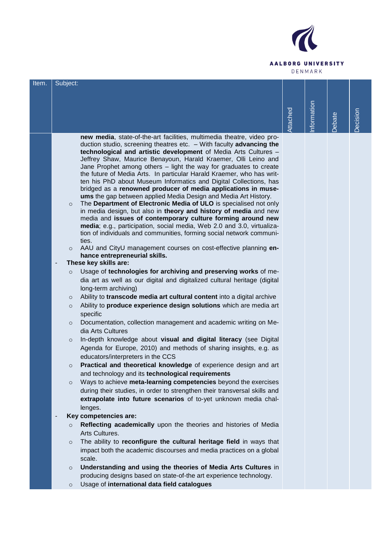

| Item. | Subject:                 |                                                                                                                                            |          |            |               |          |
|-------|--------------------------|--------------------------------------------------------------------------------------------------------------------------------------------|----------|------------|---------------|----------|
|       |                          |                                                                                                                                            |          |            |               |          |
|       |                          |                                                                                                                                            |          |            |               |          |
|       |                          |                                                                                                                                            |          |            |               |          |
|       |                          |                                                                                                                                            |          |            |               |          |
|       |                          |                                                                                                                                            | Attached | nformation | <b>Debate</b> | Decision |
|       |                          | new media, state-of-the-art facilities, multimedia theatre, video pro-                                                                     |          |            |               |          |
|       |                          | duction studio, screening theatres etc. $-$ With faculty advancing the                                                                     |          |            |               |          |
|       |                          | technological and artistic development of Media Arts Cultures -                                                                            |          |            |               |          |
|       |                          | Jeffrey Shaw, Maurice Benayoun, Harald Kraemer, Olli Leino and                                                                             |          |            |               |          |
|       |                          | Jane Prophet among others - light the way for graduates to create                                                                          |          |            |               |          |
|       |                          | the future of Media Arts. In particular Harald Kraemer, who has writ-<br>ten his PhD about Museum Informatics and Digital Collections, has |          |            |               |          |
|       |                          | bridged as a renowned producer of media applications in muse-                                                                              |          |            |               |          |
|       |                          | ums the gap between applied Media Design and Media Art History.                                                                            |          |            |               |          |
|       | $\circ$                  | The Department of Electronic Media of ULO is specialised not only                                                                          |          |            |               |          |
|       |                          | in media design, but also in theory and history of media and new                                                                           |          |            |               |          |
|       |                          | media and issues of contemporary culture forming around new<br>media; e.g., participation, social media, Web 2.0 and 3.0, virtualiza-      |          |            |               |          |
|       |                          | tion of individuals and communities, forming social network communi-                                                                       |          |            |               |          |
|       |                          | ties.                                                                                                                                      |          |            |               |          |
|       | $\circ$                  | AAU and CityU management courses on cost-effective planning en-                                                                            |          |            |               |          |
|       |                          | hance entrepreneurial skills.                                                                                                              |          |            |               |          |
|       | $\overline{\phantom{m}}$ | These key skills are:                                                                                                                      |          |            |               |          |
|       | $\circ$                  | Usage of technologies for archiving and preserving works of me-                                                                            |          |            |               |          |
|       |                          | dia art as well as our digital and digitalized cultural heritage (digital                                                                  |          |            |               |          |
|       |                          | long-term archiving)                                                                                                                       |          |            |               |          |
|       | $\circ$                  | Ability to transcode media art cultural content into a digital archive                                                                     |          |            |               |          |
|       | $\circ$                  | Ability to produce experience design solutions which are media art                                                                         |          |            |               |          |
|       |                          | specific                                                                                                                                   |          |            |               |          |
|       | $\circ$                  | Documentation, collection management and academic writing on Me-<br>dia Arts Cultures                                                      |          |            |               |          |
|       |                          | In-depth knowledge about visual and digital literacy (see Digital                                                                          |          |            |               |          |
|       | $\circ$                  | Agenda for Europe, 2010) and methods of sharing insights, e.g. as                                                                          |          |            |               |          |
|       |                          | educators/interpreters in the CCS                                                                                                          |          |            |               |          |
|       | $\circ$                  | Practical and theoretical knowledge of experience design and art                                                                           |          |            |               |          |
|       |                          | and technology and its technological requirements                                                                                          |          |            |               |          |
|       | $\circ$                  | Ways to achieve meta-learning competencies beyond the exercises                                                                            |          |            |               |          |
|       |                          | during their studies, in order to strengthen their transversal skills and                                                                  |          |            |               |          |
|       |                          | extrapolate into future scenarios of to-yet unknown media chal-                                                                            |          |            |               |          |
|       |                          | lenges.                                                                                                                                    |          |            |               |          |
|       | ٠                        | Key competencies are:                                                                                                                      |          |            |               |          |
|       | $\circ$                  | Reflecting academically upon the theories and histories of Media                                                                           |          |            |               |          |
|       |                          | Arts Cultures.                                                                                                                             |          |            |               |          |
|       | $\circ$                  | The ability to reconfigure the cultural heritage field in ways that                                                                        |          |            |               |          |
|       |                          | impact both the academic discourses and media practices on a global                                                                        |          |            |               |          |
|       |                          | scale.                                                                                                                                     |          |            |               |          |
|       | $\circ$                  | Understanding and using the theories of Media Arts Cultures in                                                                             |          |            |               |          |
|       |                          | producing designs based on state-of-the art experience technology.                                                                         |          |            |               |          |
|       | $\circ$                  | Usage of international data field catalogues                                                                                               |          |            |               |          |
|       |                          |                                                                                                                                            |          |            |               |          |